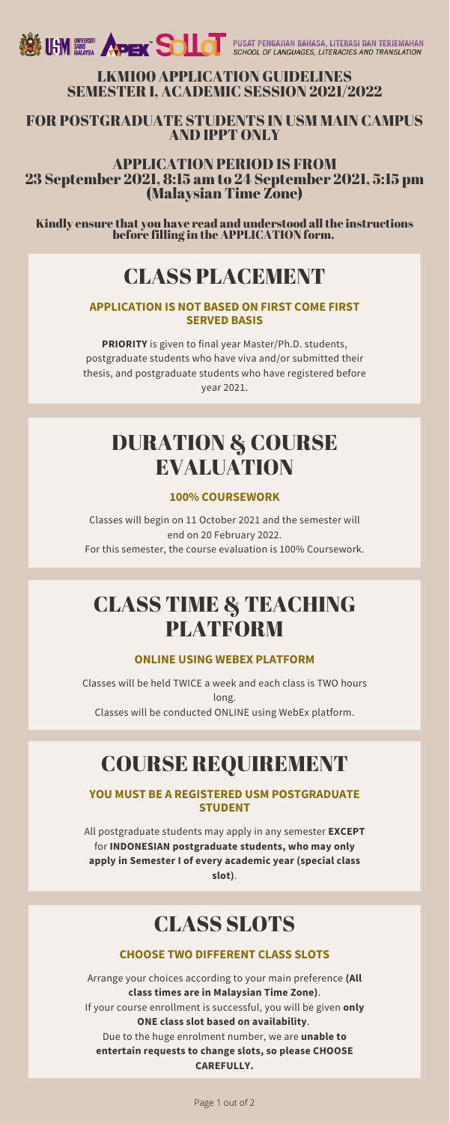

#### LKM100 APPLICATION GUIDELINES SEMESTER I, ACADEMIC SESSION 2021/2022

#### FOR POSTGRADUATE STUDENTS IN USM MAIN CAMPUS AND IPPT ONLY

#### APPLICATION PERIOD IS FROM 23 September 2021, 8:15 am to 24 September 2021, 5:15 pm (Malaysian Time Zone)

Kindly ensure that you have read and understood allthe instructions before filling in the APPLICATION form.

### CLASS PLACEMENT

#### **APPLICATION IS NOT BASED ON FIRST COME FIRST SERVED BASIS**

**PRIORITY** is given to final year Master/Ph.D. students, postgraduate students who have viva and/or submitted their thesis, and postgraduate students who have registered before year 2021.

### DURATION & COURSE EVALUATION

#### **100% COURSEWORK**

Classes will begin on 11 October 2021 and the semester will end on 20 February 2022. For this semester, the course evaluation is 100% Coursework.

### CLASS TIME & TEACHING PLATFORM

**ONLINE USING WEBEX PLATFORM**

Classes will be held TWICE a week and each class is TWO hours long. Classes will be conducted ONLINE using WebEx platform.

# COURSE REQUIREMENT

#### **YOU MUST BE A REGISTERED USM POSTGRADUATE STUDENT**

All postgraduate students may apply in any semester **EXCEPT** for **INDONESIAN postgraduate students, who may only apply in Semester I of every academic year (special class slot)**.

### CLASS SLOTS

#### **CHOOSE TWO DIFFERENT CLASS SLOTS**

Arrange your choices according to your main preference **(All class times are in Malaysian Time Zone)**. If your course enrollment is successful, you will be given **only ONE class slot based on availability**. Due to the huge enrolment number, we are **unable to entertain requests to change slots, so please CHOOSE CAREFULLY.**

Page 1 out of 2